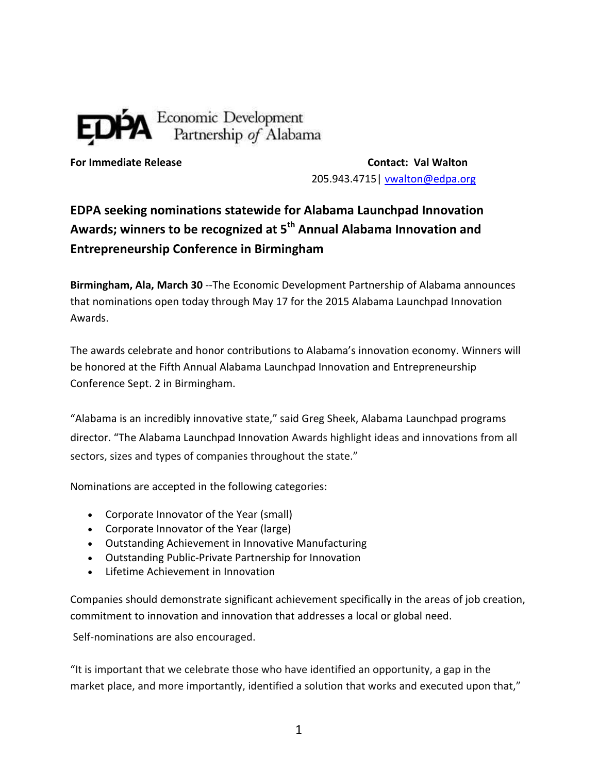## Economic Development<br>Partnership of Alabama

**For Immediate Release Contact: Val Walton** 205.943.4715| [vwalton@edpa.org](file:///C:/Users/vwalton/AppData/Roaming/Microsoft/Word/vwalton@edpa.org)

## **EDPA seeking nominations statewide for Alabama Launchpad Innovation Awards; winners to be recognized at 5th Annual Alabama Innovation and Entrepreneurship Conference in Birmingham**

**Birmingham, Ala, March 30** --The Economic Development Partnership of Alabama announces that nominations open today through May 17 for the 2015 Alabama Launchpad Innovation Awards.

The awards celebrate and honor contributions to Alabama's innovation economy. Winners will be honored at the Fifth Annual Alabama Launchpad Innovation and Entrepreneurship Conference Sept. 2 in Birmingham.

"Alabama is an incredibly innovative state," said Greg Sheek, Alabama Launchpad programs director. "The Alabama Launchpad Innovation Awards highlight ideas and innovations from all sectors, sizes and types of companies throughout the state."

Nominations are accepted in the following categories:

- Corporate Innovator of the Year (small)
- Corporate Innovator of the Year (large)
- Outstanding Achievement in Innovative Manufacturing
- Outstanding Public-Private Partnership for Innovation
- **.** Lifetime Achievement in Innovation

Companies should demonstrate significant achievement specifically in the areas of job creation, commitment to innovation and innovation that addresses a local or global need.

Self-nominations are also encouraged.

"It is important that we celebrate those who have identified an opportunity, a gap in the market place, and more importantly, identified a solution that works and executed upon that,"